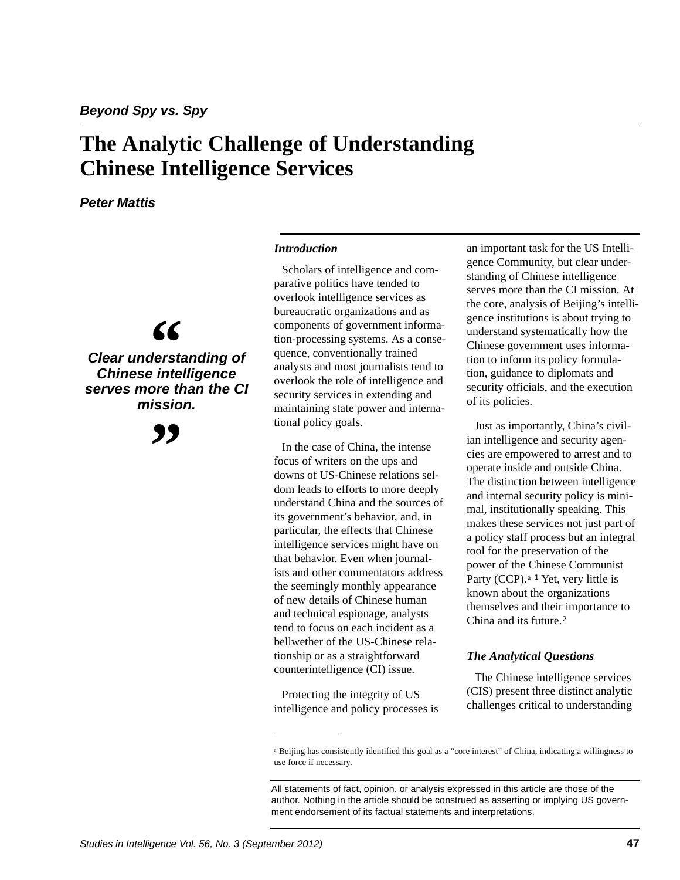## **The Analytic Challenge of Understanding Chinese Intelligence Services**

*Peter Mattis*

# **"**

*Clear understanding of Chinese intelligence serves more than the CI mission.*

**"**

#### *Introduction*

Scholars of intelligence and comparative politics have tended to overlook intelligence services as bureaucratic organizations and as components of government information-processing systems. As a consequence, conventionally trained analysts and most journalists tend to overlook the role of intelligence and security services in extending and maintaining state power and international policy goals.

In the case of China, the intense focus of writers on the ups and downs of US-Chinese relations seldom leads to efforts to more deeply understand China and the sources of its government's behavior, and, in particular, the effects that Chinese intelligence services might have on that behavior. Even when journalists and other commentators address the seemingly monthly appearance of new details of Chinese human and technical espionage, analysts tend to focus on each incident as a bellwether of the US-Chinese relationship or as a straightforward counterintelligence (CI) issue.

Protecting the integrity of US intelligence and policy processes is an important task for the US Intelligence Community, but clear understanding of Chinese intelligence serves more than the CI mission. At the core, analysis of Beijing's intelligence institutions is about trying to understand systematically how the Chinese government uses information to inform its policy formulation, guidance to diplomats and security officials, and the execution of its policies.

Just as importantly, China's civilian intelligence and security agencies are empowered to arrest and to operate inside and outside China. The distinction between intelligence and internal security policy is minimal, institutionally speaking. This makes these services not just part of a policy staff process but an integral tool for the preservation of the power of the Chinese Communist Party (CCP).<sup>a 1</sup> Yet, very little is known about the organizations themselves and their importance to China and its future.<sup>2</sup>

## *The Analytical Questions*

The Chinese intelligence services (CIS) present three distinct analytic challenges critical to understanding

<sup>a</sup> Beijing has consistently identified this goal as a "core interest" of China, indicating a willingness to use force if necessary.

All statements of fact, opinion, or analysis expressed in this article are those of the author. Nothing in the article should be construed as asserting or implying US government endorsement of its factual statements and interpretations.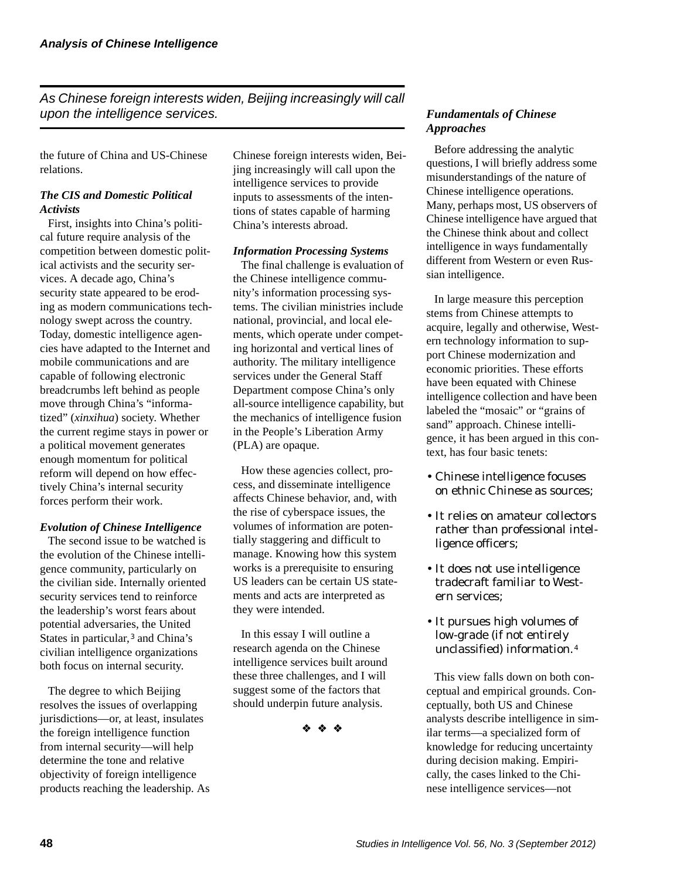*As Chinese foreign interests widen, Beijing increasingly will call upon the intelligence services.*

the future of China and US-Chinese relations.

## *The CIS and Domestic Political Activists*

First, insights into China's political future require analysis of the competition between domestic political activists and the security services. A decade ago, China's security state appeared to be eroding as modern communications technology swept across the country. Today, domestic intelligence agencies have adapted to the Internet and mobile communications and are capable of following electronic breadcrumbs left behind as people move through China's "informatized" (*xinxihua*) society. Whether the current regime stays in power or a political movement generates enough momentum for political reform will depend on how effectively China's internal security forces perform their work.

#### *Evolution of Chinese Intelligence*

The second issue to be watched is the evolution of the Chinese intelligence community, particularly on the civilian side. Internally oriented security services tend to reinforce the leadership's worst fears about potential adversaries, the United States in particular,<sup>3</sup> and China's civilian intelligence organizations both focus on internal security.

The degree to which Beijing resolves the issues of overlapping jurisdictions—or, at least, insulates the foreign intelligence function from internal security—will help determine the tone and relative objectivity of foreign intelligence products reaching the leadership. As

Chinese foreign interests widen, Beijing increasingly will call upon the intelligence services to provide inputs to assessments of the intentions of states capable of harming China's interests abroad.

#### *Information Processing Systems*

The final challenge is evaluation of the Chinese intelligence community's information processing systems. The civilian ministries include national, provincial, and local elements, which operate under competing horizontal and vertical lines of authority. The military intelligence services under the General Staff Department compose China's only all-source intelligence capability, but the mechanics of intelligence fusion in the People's Liberation Army (PLA) are opaque.

How these agencies collect, process, and disseminate intelligence affects Chinese behavior, and, with the rise of cyberspace issues, the volumes of information are potentially staggering and difficult to manage. Knowing how this system works is a prerequisite to ensuring US leaders can be certain US statements and acts are interpreted as they were intended.

In this essay I will outline a research agenda on the Chinese intelligence services built around these three challenges, and I will suggest some of the factors that should underpin future analysis.

❖ ❖ ❖

## *Fundamentals of Chinese Approaches*

Before addressing the analytic questions, I will briefly address some misunderstandings of the nature of Chinese intelligence operations. Many, perhaps most, US observers of Chinese intelligence have argued that the Chinese think about and collect intelligence in ways fundamentally different from Western or even Russian intelligence.

In large measure this perception stems from Chinese attempts to acquire, legally and otherwise, Western technology information to support Chinese modernization and economic priorities. These efforts have been equated with Chinese intelligence collection and have been labeled the "mosaic" or "grains of sand" approach. Chinese intelligence, it has been argued in this context, has four basic tenets:

- Chinese intelligence focuses on ethnic Chinese as sources;
- It relies on amateur collectors rather than professional intelligence officers;
- It does not use intelligence tradecraft familiar to Western services;
- It pursues high volumes of low-grade (if not entirely unclassified) information.4

This view falls down on both conceptual and empirical grounds. Conceptually, both US and Chinese analysts describe intelligence in similar terms—a specialized form of knowledge for reducing uncertainty during decision making. Empirically, the cases linked to the Chinese intelligence services—not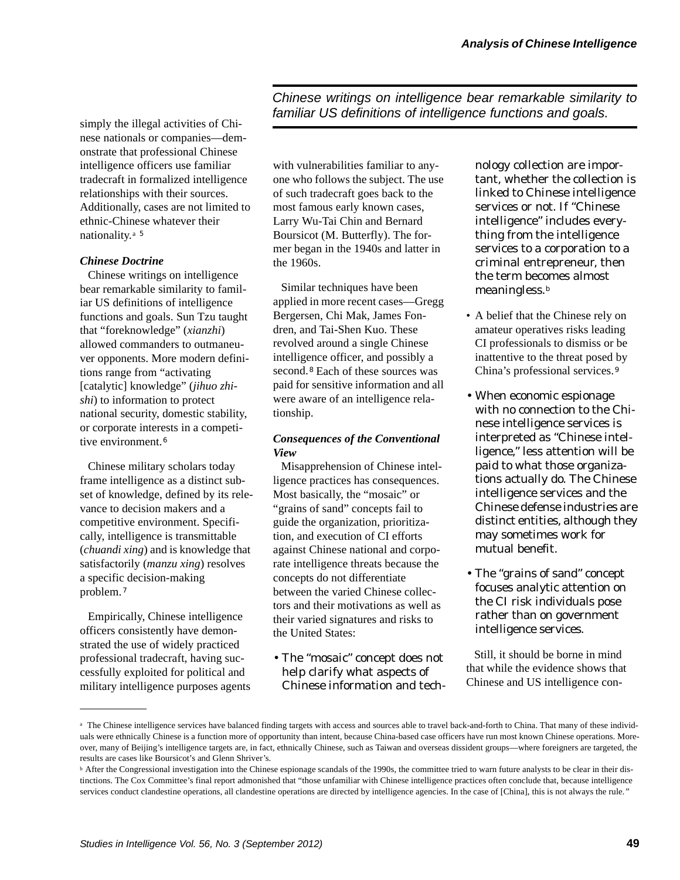simply the illegal activities of Chinese nationals or companies—demonstrate that professional Chinese intelligence officers use familiar tradecraft in formalized intelligence relationships with their sources. Additionally, cases are not limited to ethnic-Chinese whatever their nationality.a <sup>5</sup>

#### *Chinese Doctrine*

Chinese writings on intelligence bear remarkable similarity to familiar US definitions of intelligence functions and goals. Sun Tzu taught that "foreknowledge" (*xianzhi*) allowed commanders to outmaneuver opponents. More modern definitions range from "activating [catalytic] knowledge" (*jihuo zhishi*) to information to protect national security, domestic stability, or corporate interests in a competitive environment.<sup>6</sup>

Chinese military scholars today frame intelligence as a distinct subset of knowledge, defined by its relevance to decision makers and a competitive environment. Specifically, intelligence is transmittable (*chuandi xing*) and is knowledge that satisfactorily (*manzu xing*) resolves a specific decision-making problem. <sup>7</sup>

Empirically, Chinese intelligence officers consistently have demonstrated the use of widely practiced professional tradecraft, having successfully exploited for political and military intelligence purposes agents

with vulnerabilities familiar to any*familiar US definitions of intelligence functions and goals.*

*Chinese writings on intelligence bear remarkable similarity to*

one who follows the subject. The use of such tradecraft goes back to the most famous early known cases, Larry Wu-Tai Chin and Bernard Boursicot (M. Butterfly). The former began in the 1940s and latter in the 1960s.

Similar techniques have been applied in more recent cases—Gregg Bergersen, Chi Mak, James Fondren, and Tai-Shen Kuo. These revolved around a single Chinese intelligence officer, and possibly a second.<sup>8</sup> Each of these sources was paid for sensitive information and all were aware of an intelligence relationship.

#### *Consequences of the Conventional View*

Misapprehension of Chinese intelligence practices has consequences. Most basically, the "mosaic" or "grains of sand" concepts fail to guide the organization, prioritization, and execution of CI efforts against Chinese national and corporate intelligence threats because the concepts do not differentiate between the varied Chinese collectors and their motivations as well as their varied signatures and risks to the United States:

• The "mosaic" concept does not help clarify what aspects of Chinese information and tech-

nology collection are important, whether the collection is linked to Chinese intelligence services or not. If "Chinese intelligence" includes everything from the intelligence services to a corporation to a criminal entrepreneur, then the term becomes almost meaningless.<sup>b</sup>

- A belief that the Chinese rely on amateur operatives risks leading CI professionals to dismiss or be inattentive to the threat posed by China's professional services.<sup>9</sup>
- When economic espionage with no connection to the Chinese intelligence services is interpreted as "Chinese intelligence," less attention will be paid to what those organizations actually do. The Chinese intelligence services and the Chinese defense industries are distinct entities, although they may sometimes work for mutual benefit.
- The "grains of sand" concept focuses analytic attention on the CI risk individuals pose rather than on government intelligence services.

Still, it should be borne in mind that while the evidence shows that Chinese and US intelligence con-

<sup>&</sup>lt;sup>a</sup> The Chinese intelligence services have balanced finding targets with access and sources able to travel back-and-forth to China. That many of these individuals were ethnically Chinese is a function more of opportunity than intent, because China-based case officers have run most known Chinese operations. Moreover, many of Beijing's intelligence targets are, in fact, ethnically Chinese, such as Taiwan and overseas dissident groups—where foreigners are targeted, the results are cases like Boursicot's and Glenn Shriver's.

**b** After the Congressional investigation into the Chinese espionage scandals of the 1990s, the committee tried to warn future analysts to be clear in their distinctions. The Cox Committee's final report admonished that "those unfamiliar with Chinese intelligence practices often conclude that, because intelligence services conduct clandestine operations, all clandestine operations are directed by intelligence agencies. In the case of [China], this is not always the rule*."*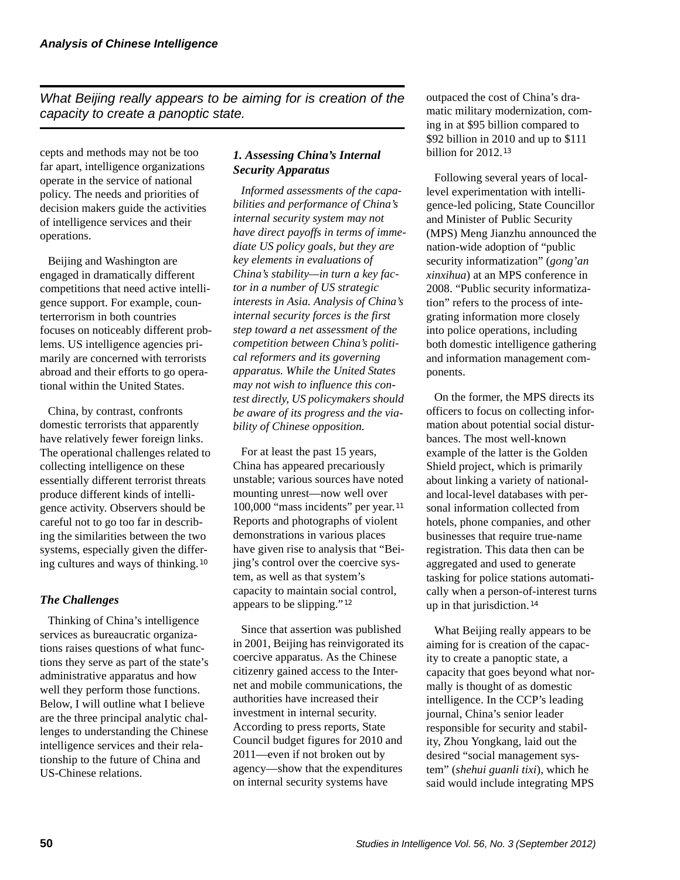*What Beijing really appears to be aiming for is creation of the capacity to create a panoptic state.*

cepts and methods may not be too far apart, intelligence organizations operate in the service of national policy. The needs and priorities of decision makers guide the activities of intelligence services and their operations.

Beijing and Washington are engaged in dramatically different competitions that need active intelligence support. For example, counterterrorism in both countries focuses on noticeably different problems. US intelligence agencies primarily are concerned with terrorists abroad and their efforts to go operational within the United States.

China, by contrast, confronts domestic terrorists that apparently have relatively fewer foreign links. The operational challenges related to collecting intelligence on these essentially different terrorist threats produce different kinds of intelligence activity. Observers should be careful not to go too far in describing the similarities between the two systems, especially given the differing cultures and ways of thinking. <sup>10</sup>

## *The Challenges*

Thinking of China's intelligence services as bureaucratic organizations raises questions of what functions they serve as part of the state's administrative apparatus and how well they perform those functions. Below, I will outline what I believe are the three principal analytic challenges to understanding the Chinese intelligence services and their relationship to the future of China and US-Chinese relations.

## *1. Assessing China's Internal Security Apparatus*

*Informed assessments of the capabilities and performance of China's internal security system may not have direct payoffs in terms of immediate US policy goals, but they are key elements in evaluations of China's stability—in turn a key factor in a number of US strategic interests in Asia. Analysis of China's internal security forces is the first step toward a net assessment of the competition between China's political reformers and its governing apparatus. While the United States may not wish to influence this contest directly, US policymakers should be aware of its progress and the viability of Chinese opposition.*

For at least the past 15 years, China has appeared precariously unstable; various sources have noted mounting unrest—now well over 100,000 "mass incidents" per year. 11 Reports and photographs of violent demonstrations in various places have given rise to analysis that "Beijing's control over the coercive system, as well as that system's capacity to maintain social control, appears to be slipping." <sup>12</sup>

Since that assertion was published in 2001, Beijing has reinvigorated its coercive apparatus. As the Chinese citizenry gained access to the Internet and mobile communications, the authorities have increased their investment in internal security. According to press reports, State Council budget figures for 2010 and 2011—even if not broken out by agency—show that the expenditures on internal security systems have

outpaced the cost of China's dramatic military modernization, coming in at \$95 billion compared to \$92 billion in 2010 and up to \$111 billion for 2012.<sup>13</sup>

Following several years of locallevel experimentation with intelligence-led policing, State Councillor and Minister of Public Security (MPS) Meng Jianzhu announced the nation-wide adoption of "public security informatization" (*gong'an xinxihua*) at an MPS conference in 2008. "Public security informatization" refers to the process of integrating information more closely into police operations, including both domestic intelligence gathering and information management components.

On the former, the MPS directs its officers to focus on collecting information about potential social disturbances. The most well-known example of the latter is the Golden Shield project, which is primarily about linking a variety of nationaland local-level databases with personal information collected from hotels, phone companies, and other businesses that require true-name registration. This data then can be aggregated and used to generate tasking for police stations automatically when a person-of-interest turns up in that jurisdiction.<sup>14</sup>

What Beijing really appears to be aiming for is creation of the capacity to create a panoptic state, a capacity that goes beyond what normally is thought of as domestic intelligence. In the CCP's leading journal, China's senior leader responsible for security and stability, Zhou Yongkang, laid out the desired "social management system" (*shehui guanli tixi*), which he said would include integrating MPS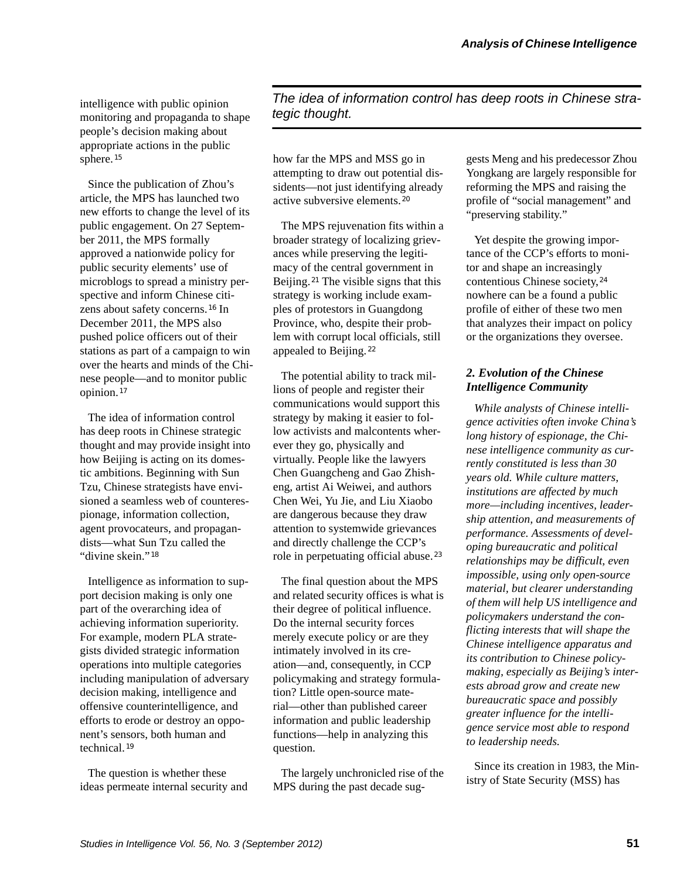intelligence with public opinion monitoring and propaganda to shape people's decision making about appropriate actions in the public sphere. <sup>15</sup>

Since the publication of Zhou's article, the MPS has launched two new efforts to change the level of its public engagement. On 27 September 2011, the MPS formally approved a nationwide policy for public security elements' use of microblogs to spread a ministry perspective and inform Chinese citizens about safety concerns.<sup>16</sup> In December 2011, the MPS also pushed police officers out of their stations as part of a campaign to win over the hearts and minds of the Chinese people—and to monitor public opinion. <sup>17</sup>

The idea of information control has deep roots in Chinese strategic thought and may provide insight into how Beijing is acting on its domestic ambitions. Beginning with Sun Tzu, Chinese strategists have envisioned a seamless web of counterespionage, information collection, agent provocateurs, and propagandists—what Sun Tzu called the "divine skein." <sup>18</sup>

Intelligence as information to support decision making is only one part of the overarching idea of achieving information superiority. For example, modern PLA strategists divided strategic information operations into multiple categories including manipulation of adversary decision making, intelligence and offensive counterintelligence, and efforts to erode or destroy an opponent's sensors, both human and technical.<sup>19</sup>

The question is whether these ideas permeate internal security and

*The idea of information control has deep roots in Chinese strategic thought.*

how far the MPS and MSS go in attempting to draw out potential dissidents—not just identifying already active subversive elements. <sup>20</sup>

The MPS rejuvenation fits within a broader strategy of localizing grievances while preserving the legitimacy of the central government in Beijing.<sup>21</sup> The visible signs that this strategy is working include examples of protestors in Guangdong Province, who, despite their problem with corrupt local officials, still appealed to Beijing. <sup>22</sup>

The potential ability to track millions of people and register their communications would support this strategy by making it easier to follow activists and malcontents wherever they go, physically and virtually. People like the lawyers Chen Guangcheng and Gao Zhisheng, artist Ai Weiwei, and authors Chen Wei, Yu Jie, and Liu Xiaobo are dangerous because they draw attention to systemwide grievances and directly challenge the CCP's role in perpetuating official abuse. <sup>23</sup>

The final question about the MPS and related security offices is what is their degree of political influence. Do the internal security forces merely execute policy or are they intimately involved in its creation—and, consequently, in CCP policymaking and strategy formulation? Little open-source material—other than published career information and public leadership functions—help in analyzing this question.

The largely unchronicled rise of the MPS during the past decade suggests Meng and his predecessor Zhou Yongkang are largely responsible for reforming the MPS and raising the profile of "social management" and "preserving stability."

Yet despite the growing importance of the CCP's efforts to monitor and shape an increasingly contentious Chinese society, 24 nowhere can be a found a public profile of either of these two men that analyzes their impact on policy or the organizations they oversee.

## *2. Evolution of the Chinese Intelligence Community*

*While analysts of Chinese intelligence activities often invoke China's long history of espionage, the Chinese intelligence community as currently constituted is less than 30 years old. While culture matters, institutions are affected by much more—including incentives, leadership attention, and measurements of performance. Assessments of developing bureaucratic and political relationships may be difficult, even impossible, using only open-source material, but clearer understanding of them will help US intelligence and policymakers understand the conflicting interests that will shape the Chinese intelligence apparatus and its contribution to Chinese policymaking, especially as Beijing's interests abroad grow and create new bureaucratic space and possibly greater influence for the intelligence service most able to respond to leadership needs.*

Since its creation in 1983, the Ministry of State Security (MSS) has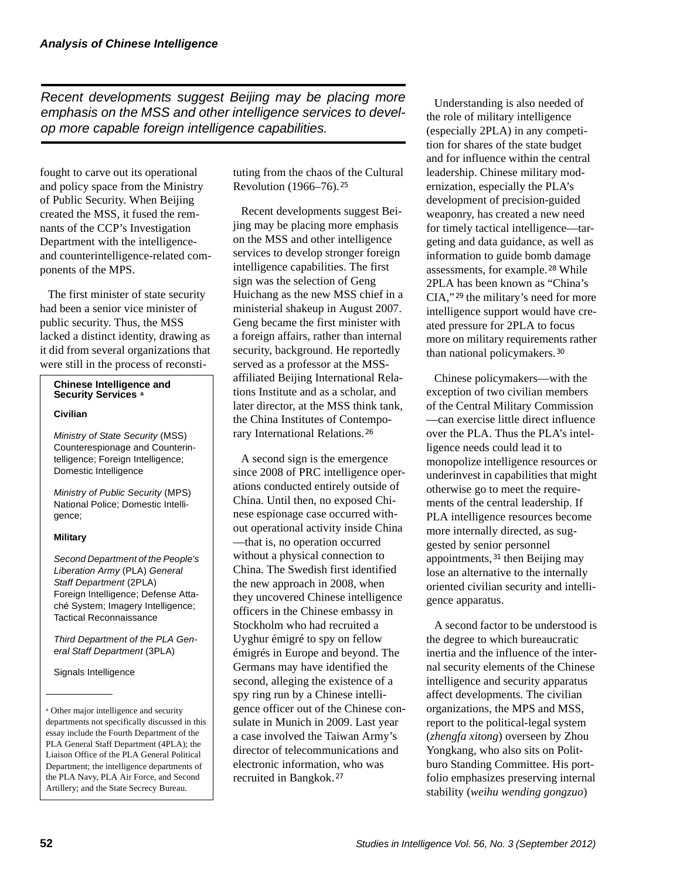*Recent developments suggest Beijing may be placing more emphasis on the MSS and other intelligence services to develop more capable foreign intelligence capabilities.* 

fought to carve out its operational and policy space from the Ministry of Public Security. When Beijing created the MSS, it fused the remnants of the CCP's Investigation Department with the intelligenceand counterintelligence-related components of the MPS.

The first minister of state security had been a senior vice minister of public security. Thus, the MSS lacked a distinct identity, drawing as it did from several organizations that were still in the process of reconsti-

#### **Chinese Intelligence and Security Services a**

#### **Civilian**

*Ministry of State Security* (MSS) Counterespionage and Counterintelligence; Foreign Intelligence; Domestic Intelligence

*Ministry of Public Security* (MPS) National Police; Domestic Intelligence;

#### **Military**

*Second Department of the People's Liberation Army* (PLA) *General Staff Department* (2PLA) Foreign Intelligence; Defense Attaché System; Imagery Intelligence; Tactical Reconnaissance

*Third Department of the PLA General Staff Department* (3PLA)

Signals Intelligence

tuting from the chaos of the Cultural Revolution (1966–76). <sup>25</sup>

Recent developments suggest Beijing may be placing more emphasis on the MSS and other intelligence services to develop stronger foreign intelligence capabilities. The first sign was the selection of Geng Huichang as the new MSS chief in a ministerial shakeup in August 2007. Geng became the first minister with a foreign affairs, rather than internal security, background. He reportedly served as a professor at the MSSaffiliated Beijing International Relations Institute and as a scholar, and later director, at the MSS think tank, the China Institutes of Contemporary International Relations. <sup>26</sup>

A second sign is the emergence since 2008 of PRC intelligence operations conducted entirely outside of China. Until then, no exposed Chinese espionage case occurred without operational activity inside China —that is, no operation occurred without a physical connection to China. The Swedish first identified the new approach in 2008, when they uncovered Chinese intelligence officers in the Chinese embassy in Stockholm who had recruited a Uyghur émigré to spy on fellow émigrés in Europe and beyond. The Germans may have identified the second, alleging the existence of a spy ring run by a Chinese intelligence officer out of the Chinese consulate in Munich in 2009. Last year a case involved the Taiwan Army's director of telecommunications and electronic information, who was recruited in Bangkok. <sup>27</sup>

Understanding is also needed of the role of military intelligence (especially 2PLA) in any competition for shares of the state budget and for influence within the central leadership. Chinese military modernization, especially the PLA's development of precision-guided weaponry, has created a new need for timely tactical intelligence—targeting and data guidance, as well as information to guide bomb damage assessments, for example.<sup>28</sup> While 2PLA has been known as "China's  $CIA$ ,"<sup>29</sup> the military's need for more intelligence support would have created pressure for 2PLA to focus more on military requirements rather than national policymakers.<sup>30</sup>

Chinese policymakers—with the exception of two civilian members of the Central Military Commission —can exercise little direct influence over the PLA. Thus the PLA's intelligence needs could lead it to monopolize intelligence resources or underinvest in capabilities that might otherwise go to meet the requirements of the central leadership. If PLA intelligence resources become more internally directed, as suggested by senior personnel appointments,  $31$  then Beijing may lose an alternative to the internally oriented civilian security and intelligence apparatus.

A second factor to be understood is the degree to which bureaucratic inertia and the influence of the internal security elements of the Chinese intelligence and security apparatus affect developments. The civilian organizations, the MPS and MSS, report to the political-legal system (*zhengfa xitong*) overseen by Zhou Yongkang, who also sits on Politburo Standing Committee. His portfolio emphasizes preserving internal stability (*weihu wending gongzuo*)

<sup>a</sup> Other major intelligence and security departments not specifically discussed in this essay include the Fourth Department of the PLA General Staff Department (4PLA); the Liaison Office of the PLA General Political Department; the intelligence departments of the PLA Navy, PLA Air Force, and Second Artillery; and the State Secrecy Bureau.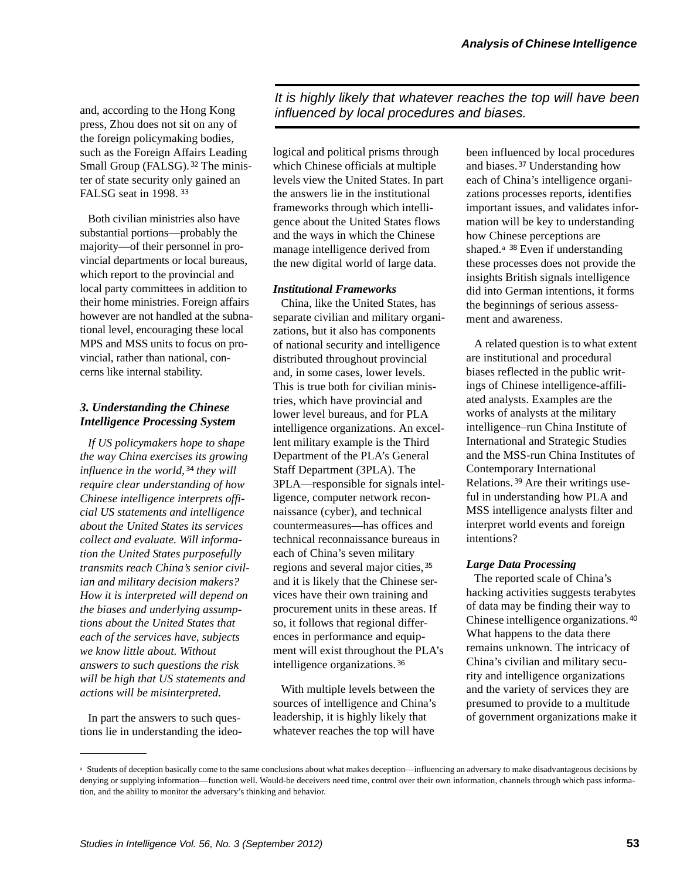press, Zhou does not sit on any of the foreign policymaking bodies, such as the Foreign Affairs Leading Small Group (FALSG).<sup>32</sup> The minister of state security only gained an FALSG seat in 1998. <sup>33</sup>

Both civilian ministries also have substantial portions—probably the majority—of their personnel in provincial departments or local bureaus, which report to the provincial and local party committees in addition to their home ministries. Foreign affairs however are not handled at the subnational level, encouraging these local MPS and MSS units to focus on provincial, rather than national, concerns like internal stability.

## *3. Understanding the Chinese Intelligence Processing System*

*If US policymakers hope to shape the way China exercises its growing*  influence in the world, <sup>34</sup> they will *require clear understanding of how Chinese intelligence interprets official US statements and intelligence about the United States its services collect and evaluate. Will information the United States purposefully transmits reach China's senior civilian and military decision makers? How it is interpreted will depend on the biases and underlying assumptions about the United States that each of the services have, subjects we know little about. Without answers to such questions the risk will be high that US statements and actions will be misinterpreted.*

In part the answers to such questions lie in understanding the ideo-

*It is highly likely that whatever reaches the top will have been* and, according to the Hong Kong *influenced by local procedures and biases.* 

> logical and political prisms through which Chinese officials at multiple levels view the United States. In part the answers lie in the institutional frameworks through which intelligence about the United States flows and the ways in which the Chinese manage intelligence derived from the new digital world of large data.

#### *Institutional Frameworks*

China, like the United States, has separate civilian and military organizations, but it also has components of national security and intelligence distributed throughout provincial and, in some cases, lower levels. This is true both for civilian ministries, which have provincial and lower level bureaus, and for PLA intelligence organizations. An excellent military example is the Third Department of the PLA's General Staff Department (3PLA). The 3PLA—responsible for signals intelligence, computer network reconnaissance (cyber), and technical countermeasures—has offices and technical reconnaissance bureaus in each of China's seven military regions and several major cities, 35 and it is likely that the Chinese services have their own training and procurement units in these areas. If so, it follows that regional differences in performance and equipment will exist throughout the PLA's intelligence organizations. <sup>36</sup>

With multiple levels between the sources of intelligence and China's leadership, it is highly likely that whatever reaches the top will have

been influenced by local procedures and biases.<sup>37</sup> Understanding how each of China's intelligence organizations processes reports, identifies important issues, and validates information will be key to understanding how Chinese perceptions are shaped.<sup>a 38</sup> Even if understanding these processes does not provide the insights British signals intelligence did into German intentions, it forms the beginnings of serious assessment and awareness.

A related question is to what extent are institutional and procedural biases reflected in the public writings of Chinese intelligence-affiliated analysts. Examples are the works of analysts at the military intelligence–run China Institute of International and Strategic Studies and the MSS-run China Institutes of Contemporary International Relations.<sup>39</sup> Are their writings useful in understanding how PLA and MSS intelligence analysts filter and interpret world events and foreign intentions?

#### *Large Data Processing*

The reported scale of China's hacking activities suggests terabytes of data may be finding their way to Chinese intelligence organizations. 40 What happens to the data there remains unknown. The intricacy of China's civilian and military security and intelligence organizations and the variety of services they are presumed to provide to a multitude of government organizations make it

a Students of deception basically come to the same conclusions about what makes deception—influencing an adversary to make disadvantageous decisions by denying or supplying information—function well. Would-be deceivers need time, control over their own information, channels through which pass information, and the ability to monitor the adversary's thinking and behavior.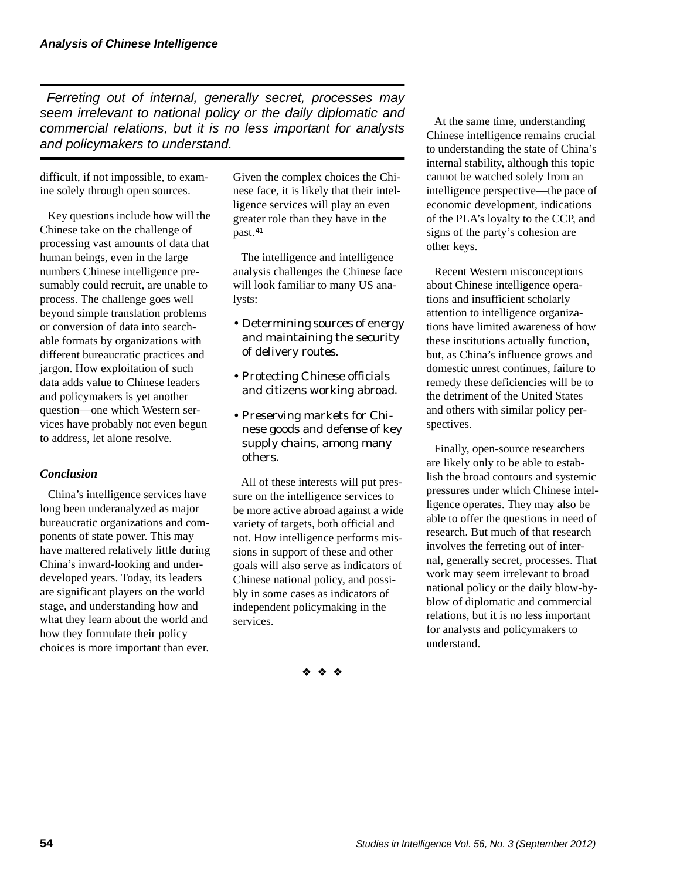*Ferreting out of internal, generally secret, processes may seem irrelevant to national policy or the daily diplomatic and commercial relations, but it is no less important for analysts and policymakers to understand.*

difficult, if not impossible, to examine solely through open sources.

Key questions include how will the Chinese take on the challenge of processing vast amounts of data that human beings, even in the large numbers Chinese intelligence presumably could recruit, are unable to process. The challenge goes well beyond simple translation problems or conversion of data into searchable formats by organizations with different bureaucratic practices and jargon. How exploitation of such data adds value to Chinese leaders and policymakers is yet another question—one which Western services have probably not even begun to address, let alone resolve.

## *Conclusion*

China's intelligence services have long been underanalyzed as major bureaucratic organizations and components of state power. This may have mattered relatively little during China's inward-looking and underdeveloped years. Today, its leaders are significant players on the world stage, and understanding how and what they learn about the world and how they formulate their policy choices is more important than ever.

Given the complex choices the Chinese face, it is likely that their intelligence services will play an even greater role than they have in the past.<sup>41</sup>

The intelligence and intelligence analysis challenges the Chinese face will look familiar to many US analysts:

- Determining sources of energy and maintaining the security of delivery routes.
- Protecting Chinese officials and citizens working abroad.
- Preserving markets for Chinese goods and defense of key supply chains, among many others.

All of these interests will put pressure on the intelligence services to be more active abroad against a wide variety of targets, both official and not. How intelligence performs missions in support of these and other goals will also serve as indicators of Chinese national policy, and possibly in some cases as indicators of independent policymaking in the services.

❖ ❖ ❖

At the same time, understanding Chinese intelligence remains crucial to understanding the state of China's internal stability, although this topic cannot be watched solely from an intelligence perspective—the pace of economic development, indications of the PLA's loyalty to the CCP, and signs of the party's cohesion are other keys.

Recent Western misconceptions about Chinese intelligence operations and insufficient scholarly attention to intelligence organizations have limited awareness of how these institutions actually function, but, as China's influence grows and domestic unrest continues, failure to remedy these deficiencies will be to the detriment of the United States and others with similar policy perspectives.

Finally, open-source researchers are likely only to be able to establish the broad contours and systemic pressures under which Chinese intelligence operates. They may also be able to offer the questions in need of research. But much of that research involves the ferreting out of internal, generally secret, processes. That work may seem irrelevant to broad national policy or the daily blow-byblow of diplomatic and commercial relations, but it is no less important for analysts and policymakers to understand.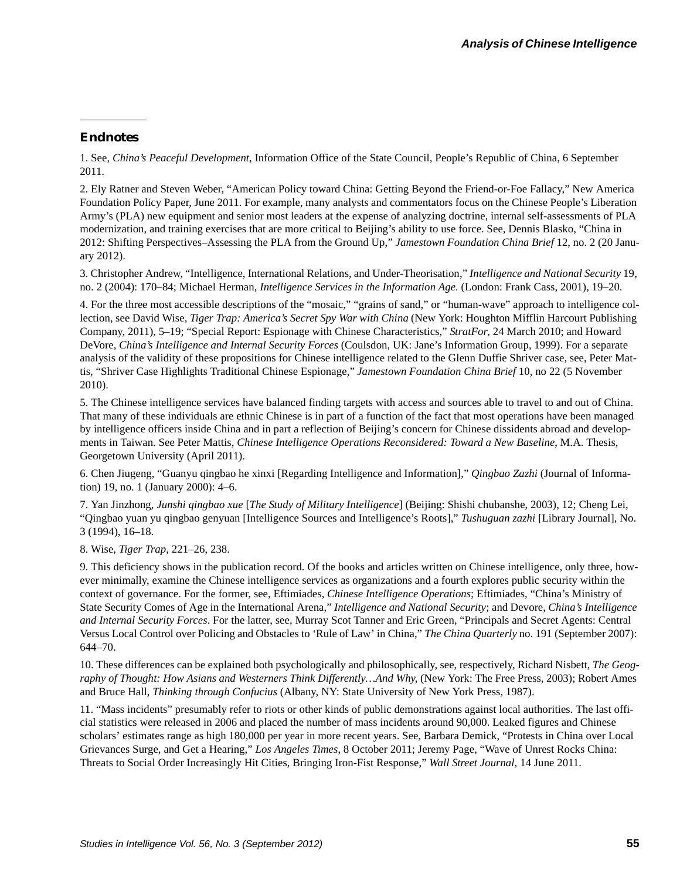#### *Endnotes*

1. See, *China's Peaceful Development*, Information Office of the State Council, People's Republic of China, 6 September 2011.

2. Ely Ratner and Steven Weber, "American Policy toward China: Getting Beyond the Friend-or-Foe Fallacy," New America Foundation Policy Paper, June 2011. For example, many analysts and commentators focus on the Chinese People's Liberation Army's (PLA) new equipment and senior most leaders at the expense of analyzing doctrine, internal self-assessments of PLA modernization, and training exercises that are more critical to Beijing's ability to use force. See, Dennis Blasko, "China in 2012: Shifting Perspectives–Assessing the PLA from the Ground Up," *Jamestown Foundation China Brief* 12, no. 2 (20 January 2012).

3. Christopher Andrew, "Intelligence, International Relations, and Under-Theorisation," *Intelligence and National Security* 19, no. 2 (2004): 170–84; Michael Herman, *Intelligence Services in the Information Age.* (London: Frank Cass, 2001), 19–20.

4. For the three most accessible descriptions of the "mosaic," "grains of sand," or "human-wave" approach to intelligence collection, see David Wise, *Tiger Trap: America's Secret Spy War with China* (New York: Houghton Mifflin Harcourt Publishing Company, 2011), 5–19; "Special Report: Espionage with Chinese Characteristics," *StratFor*, 24 March 2010; and Howard DeVore, *China's Intelligence and Internal Security Forces* (Coulsdon, UK: Jane's Information Group, 1999). For a separate analysis of the validity of these propositions for Chinese intelligence related to the Glenn Duffie Shriver case, see, Peter Mattis, "Shriver Case Highlights Traditional Chinese Espionage," *Jamestown Foundation China Brief* 10, no 22 (5 November 2010).

5. The Chinese intelligence services have balanced finding targets with access and sources able to travel to and out of China. That many of these individuals are ethnic Chinese is in part of a function of the fact that most operations have been managed by intelligence officers inside China and in part a reflection of Beijing's concern for Chinese dissidents abroad and developments in Taiwan. See Peter Mattis, *Chinese Intelligence Operations Reconsidered: Toward a New Baseline*, M.A. Thesis, Georgetown University (April 2011).

6. Chen Jiugeng, "Guanyu qingbao he xinxi [Regarding Intelligence and Information]," *Qingbao Zazhi* (Journal of Information) 19, no. 1 (January 2000): 4–6.

7. Yan Jinzhong, *Junshi qingbao xue* [*The Study of Military Intelligence*] (Beijing: Shishi chubanshe, 2003), 12; Cheng Lei, "Qingbao yuan yu qingbao genyuan [Intelligence Sources and Intelligence's Roots]," *Tushuguan zazhi* [Library Journal], No. 3 (1994), 16–18.

8. Wise, *Tiger Trap*, 221–26, 238.

9. This deficiency shows in the publication record. Of the books and articles written on Chinese intelligence, only three, however minimally, examine the Chinese intelligence services as organizations and a fourth explores public security within the context of governance. For the former, see, Eftimiades, *Chinese Intelligence Operations*; Eftimiades, "China's Ministry of State Security Comes of Age in the International Arena," *Intelligence and National Security*; and Devore, *China's Intelligence and Internal Security Forces*. For the latter, see, Murray Scot Tanner and Eric Green, "Principals and Secret Agents: Central Versus Local Control over Policing and Obstacles to 'Rule of Law' in China," *The China Quarterly* no. 191 (September 2007): 644–70.

10. These differences can be explained both psychologically and philosophically, see, respectively, Richard Nisbett, *The Geography of Thought: How Asians and Westerners Think Differently…And Why*, (New York: The Free Press, 2003); Robert Ames and Bruce Hall, *Thinking through Confucius* (Albany, NY: State University of New York Press, 1987).

11. "Mass incidents" presumably refer to riots or other kinds of public demonstrations against local authorities. The last official statistics were released in 2006 and placed the number of mass incidents around 90,000. Leaked figures and Chinese scholars' estimates range as high 180,000 per year in more recent years. See, Barbara Demick, "Protests in China over Local Grievances Surge, and Get a Hearing," *Los Angeles Times*, 8 October 2011; Jeremy Page, "Wave of Unrest Rocks China: Threats to Social Order Increasingly Hit Cities, Bringing Iron-Fist Response," *Wall Street Journal*, 14 June 2011.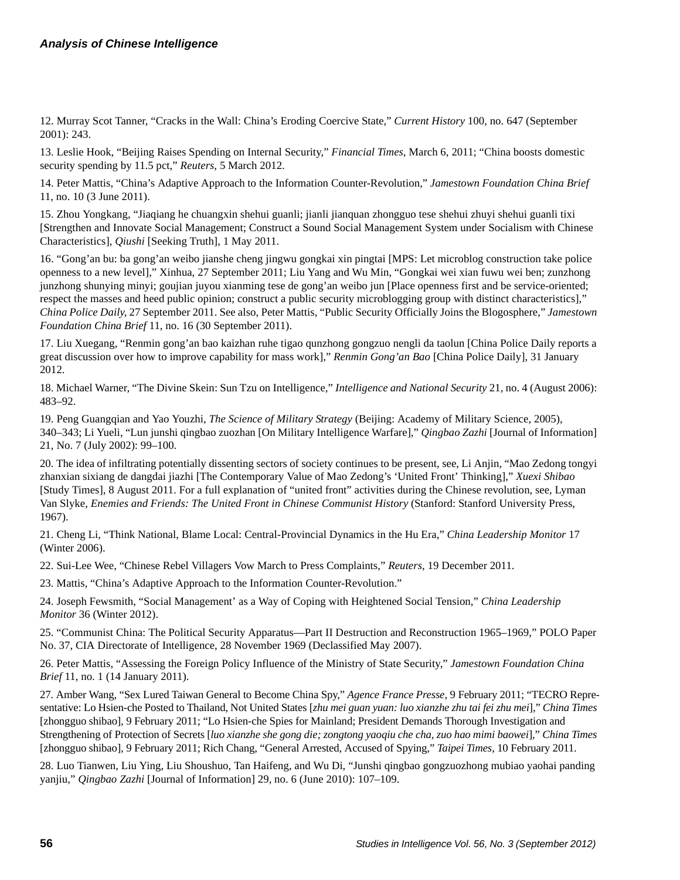12. Murray Scot Tanner, "Cracks in the Wall: China's Eroding Coercive State," *Current History* 100, no. 647 (September 2001): 243.

13. Leslie Hook, "Beijing Raises Spending on Internal Security," *Financial Times*, March 6, 2011; "China boosts domestic security spending by 11.5 pct," *Reuters*, 5 March 2012.

14. Peter Mattis, "China's Adaptive Approach to the Information Counter-Revolution," *Jamestown Foundation China Brief* 11, no. 10 (3 June 2011).

15. Zhou Yongkang, "Jiaqiang he chuangxin shehui guanli; jianli jianquan zhongguo tese shehui zhuyi shehui guanli tixi [Strengthen and Innovate Social Management; Construct a Sound Social Management System under Socialism with Chinese Characteristics], *Qiushi* [Seeking Truth], 1 May 2011.

16. "Gong'an bu: ba gong'an weibo jianshe cheng jingwu gongkai xin pingtai [MPS: Let microblog construction take police openness to a new level]," Xinhua, 27 September 2011; Liu Yang and Wu Min, "Gongkai wei xian fuwu wei ben; zunzhong junzhong shunying minyi; goujian juyou xianming tese de gong'an weibo jun [Place openness first and be service-oriented; respect the masses and heed public opinion; construct a public security microblogging group with distinct characteristics]," *China Police Daily*, 27 September 2011. See also, Peter Mattis, "Public Security Officially Joins the Blogosphere," *Jamestown Foundation China Brief* 11, no. 16 (30 September 2011).

17. Liu Xuegang, "Renmin gong'an bao kaizhan ruhe tigao qunzhong gongzuo nengli da taolun [China Police Daily reports a great discussion over how to improve capability for mass work]," *Renmin Gong'an Bao* [China Police Daily], 31 January 2012.

18. Michael Warner, "The Divine Skein: Sun Tzu on Intelligence," *Intelligence and National Security* 21, no. 4 (August 2006): 483–92.

19. Peng Guangqian and Yao Youzhi, *The Science of Military Strategy* (Beijing: Academy of Military Science, 2005), 340–343; Li Yueli, "Lun junshi qingbao zuozhan [On Military Intelligence Warfare]," *Qingbao Zazhi* [Journal of Information] 21, No. 7 (July 2002): 99–100.

20. The idea of infiltrating potentially dissenting sectors of society continues to be present, see, Li Anjin, "Mao Zedong tongyi zhanxian sixiang de dangdai jiazhi [The Contemporary Value of Mao Zedong's 'United Front' Thinking]," *Xuexi Shibao* [Study Times], 8 August 2011. For a full explanation of "united front" activities during the Chinese revolution, see, Lyman Van Slyke, *Enemies and Friends: The United Front in Chinese Communist History* (Stanford: Stanford University Press, 1967).

21. Cheng Li, "Think National, Blame Local: Central-Provincial Dynamics in the Hu Era," *China Leadership Monitor* 17 (Winter 2006).

22. Sui-Lee Wee, "Chinese Rebel Villagers Vow March to Press Complaints," *Reuters*, 19 December 2011.

23. Mattis, "China's Adaptive Approach to the Information Counter-Revolution."

24. Joseph Fewsmith, "Social Management' as a Way of Coping with Heightened Social Tension," *China Leadership Monitor* 36 (Winter 2012).

25. "Communist China: The Political Security Apparatus—Part II Destruction and Reconstruction 1965–1969," POLO Paper No. 37, CIA Directorate of Intelligence, 28 November 1969 (Declassified May 2007).

26. Peter Mattis, "Assessing the Foreign Policy Influence of the Ministry of State Security," *Jamestown Foundation China Brief* 11, no. 1 (14 January 2011).

27. Amber Wang, "Sex Lured Taiwan General to Become China Spy," *Agence France Presse*, 9 February 2011; "TECRO Representative: Lo Hsien-che Posted to Thailand, Not United States [*zhu mei guan yuan: luo xianzhe zhu tai fei zhu mei*]," *China Times* [zhongguo shibao], 9 February 2011; "Lo Hsien-che Spies for Mainland; President Demands Thorough Investigation and Strengthening of Protection of Secrets [*luo xianzhe she gong die; zongtong yaoqiu che cha, zuo hao mimi baowei*]," *China Times* [zhongguo shibao], 9 February 2011; Rich Chang, "General Arrested, Accused of Spying," *Taipei Times*, 10 February 2011.

28. Luo Tianwen, Liu Ying, Liu Shoushuo, Tan Haifeng, and Wu Di, "Junshi qingbao gongzuozhong mubiao yaohai panding yanjiu," *Qingbao Zazhi* [Journal of Information] 29, no. 6 (June 2010): 107–109.